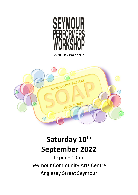

*PROUDLY PRESENTS*



# **Saturday 10th September 2022**

12pm – 10pm Seymour Community Arts Centre Anglesey Street Seymour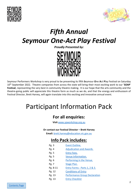



# *Fifth Annual Seymour One-Act Play Festival*

*Proudly Presented by:*



Seymour Performers Workshop is very proud to be presenting its fifth **S**eymour **O**ne **A**ct **P**lay Festival on Saturday 10th September 2022. Theatre companies from across the state will bring their most exciting work to our '**SOAP**' **Festival**, representing the very best in community theatre making. It is our hope that the arts community and the theatre-going public will appreciate this theatre form as much as we do, and that the energy and enthusiasm of Festival Director, Brett Harvey, will again translate into this exciting and innovative annual event.

# Participant Information Pack

## **For all enquiries:**

**Visit** [www.spworkshop.org.au](http://www.spworkshop.org.au/)

<span id="page-1-0"></span>**Or contact our Festival Director – Brett Harvey**

**Email:** [brett.harvey@education.vic.gov.au](mailto:brett.harvey@education.vic.gov.au)

# **Info Pack includes:**

| Pg. 3    | Event Outline.                       |
|----------|--------------------------------------|
| Pg. 4    | <b>Adjudication and Awards.</b>      |
| Pg. 5    | <b>Entry Fees.</b>                   |
| Pg. 5    | Venue Information.                   |
| Pg. 6    | Performing in the Venue.             |
| Pg. 7    | Stage Plan.                          |
| Pg. 8-11 | Entry Forms - Parts 1, 2 & 3.        |
| Pg. 12   | <b>Conditions of Entry</b>           |
| Pg. 13   | <b>Performance Group Declaration</b> |
| Pg. 13   | <b>Entry Checklist</b>               |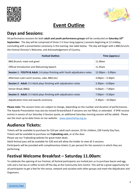<span id="page-2-0"></span>



# **Event Outline**

### **Days and Sessions:**

All performance sessions for both **adult and youth performance groups** will be conducted on **Saturday 10th September.** The day will be comprised of three 2 ½ hour-long (approx.) sessions beginning at 12 midday, concluding with a presentation ceremony in the evening. See table below. The day will begin with a BBQ brunch, the Festival Director's Welcome, and Acknowledgement of Country.

| <b>Festival Outline:</b>                                                                | Time (approx.):    |
|-----------------------------------------------------------------------------------------|--------------------|
| BBQ Brunch; meet and greet                                                              | 11.00am            |
| Official Introduction and Welcoming Speech                                              | 11.45am            |
| <b>Session 1 - YOUTH &amp; Adult:</b> 3-6 plays finishing with Youth adjudicators notes | $12.00pm - 3.00pm$ |
| Afternoon Late Lunch (scones, cake, BBQ etc)                                            | $3.00pm - 3.30pm$  |
| <b>Session 2 - Adult:</b> 3-5 Adult plays finishing with adjudicators notes             | $3.30pm - 6.00pm$  |
| Dinner Break (BBQ)                                                                      | $6.00pm - 7.00pm$  |
| <b>Session 3 - Adult:</b> 3-5 Adult plays finishing with adjudicators notes             | $7.00pm - 9.30pm$  |
| Adjudication time and awards ceremony                                                   | $9.30pm - 10.00pm$ |

**Please note:** The session times are subject to change, depending on the number and duration of performances. The Awards Presentation may also be moved forward/back if sessions are not filled, or extended. If SPW receive entries in excess of our Saturday 3-Session quota, an additional Saturday morning session will be added. Please see the most up-to-date times on our website: [www.spworkshop.org.au](http://www.spworkshop.org.au/) 

### **Audience Tickets:**

Tickets will be available to purchase for \$10 per adult each session, \$5 for children, \$30 Family Day Pass. Tickets will be available to purchase via **Trybooking.com**, or at the door.

Please see our Trybooking website for great ticket deals.

Adult festival pass will be available for \$20 and will allow the holder to view all 3 sessions.

Participants will be provided with complimentary tickets (1 per person) for the session/s in which they are performing.

#### **Festival Welcome Breakfast – Saturday 11.00am:**

To celebrate the opening of our Festival, all festival participants are invited join us to purchase bacon and egg rolls and a hot tea or coffee to kick off the day at the Community Arts Centre. This will be a great opportunity for all participants to get a feel for the venue, network and socialise with other groups and meet the Adjudicator and Organisers.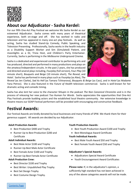<span id="page-3-0"></span>



### **About our Adjudicator - Sasha Kerdel:**

For our fifth One-Act Play Festival we welcome Ms Sasha Kerdel as our esteemed Adjudicator. Sasha comes with many years of theatrical experience, both on-stage and off. She has worked in radio and television and has appeared in many one-act play festivals. As well as acting, Sasha has studied Stand-Up Comedy, Public Speaking, and Television Presenting. Professionally, Sasha works in the health industry as a Disability Support Worker and Sim (Simulated) Patient, and moonlights as a DJ, Trivia Host, and Children's Party Entertainer. Currently, Sasha is performing in the *Melbourne Underground Cinema*.

Sasha is a dedicated and experienced contributor to performing arts and has produced, directed and performed in many productions and plays on the amateur/independent circuits. In the past 2 years, she has produced and directed several plays including, *Fourplay* (full version), *Four-Play* (10 minute short), *Bouquets and Beige* (10 minute short), *The Reveal*, and *Hotel*. Sasha has performed in many plays such as *Fourplay* (as Alex), *The* 



*Reveal* (as Jen Clarke), *Sad As Hell* (as Tamara Tchinarova), *Bouquets & Beige* (as Cass), and in *Hotel* (as Madame Yana Petrov). She is also featured in the *Future of Health* television commercial. Sasha is well-known for her dramatic acting and comedic timing.

Sasha has also lent her voice to the character Shlupin in the podcast *The Non Canonical Chronicles* and is in the process of releasing her new podcast *Too Human For Words*. Sasha appreciates the opportunities that One-Act Play Festivals provide budding actors and the established local theatre community. Her extensive knowledge in theatre means our SOAP Festival performers will be provided with encouraging and constructive feedback.

### **Festival Awards:**

Our Festival Awards are kindly donated by local businesses and many friends of SPW. We thank them for their generous support. All awards are decided by our Adjudicator.

#### **Adult Production Awards:**

- Best Production \$400 and Trophy
- Runner Up to Best Production \$200 and Certificate

#### **Adult Individual Awards:**

- Best Male Actor \$100 and Trophy
- Runner-Up Best Male Actor Certificate
- Best Female Actor \$100 and Trophy
- Runner-Up Best Female Actor Certificate

#### **Adult Production Crew:**

- Best Director \$100 and Trophy
- Best Writer: Unpublished Play Trophy
- Best Set Design Trophy
- Best Costume Design Trophy.

#### **Youth Production Awards:**

- Best Youth Production Award \$100 and Trophy
- Best Monologue Award Certificate

#### **Youth Individual Awards:**

- Best Male Youth Award \$50 and Trophy
- Best Female Youth Award \$50 and Trophy

#### **Adjudicator's Special Awards:**

- Adjudicators Special Award Certificate
- Youth Encouragement Award Certificates

**Please note:** If, in the adjudicator's opinion, a sufficiently high standard has not been achieved in any of the above categories awards will not be made.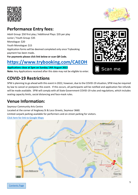<span id="page-4-0"></span>

#### **Performance Entry fees:**

Adult Group: \$50 first play / Additional Plays: \$35 per play Junior / Youth Group: \$35 Monologue: \$20 Youth Monologue: \$15 Application forms will be deemed completed only once Trybooking payment has been made**. For payments please click link below or scan QR Code.** 

# **<https://www.trybooking.com/CAEOH>**

**Applications close at 5pm on Sunday 14th August 2022 Note:** Any Applications received after this date may not be eligible to enter.

### <span id="page-4-1"></span>**COVID-19 Restrictions**

SPW is planning to go ahead with this event in 2022, however, due to the COVID-19 situation, SPW may be required by law to cancel or postpone this event. If this occurs, all participants will be notified and application fee refunds will be made available. SPW will comply with all State Government COVID-19 rules and regulations, which includes seating capacity limits, social distancing and face-mask rules.

#### **Venue Information:**

Seymour Community Arts Centre Located at the corner of Anglesey St & Loco Streets, Seymour 3660. Limited carpark parking available for performers and on-street parking for visitors. [Click here for link to Google Maps](https://www.google.com.au/maps/place/Seymour+Community+Arts+Centre/@-37.0316265,145.1411098,16.53z/data=!4m9!1m2!2m1!1sSeymour+Community+Arts+Centre!3m5!1s0x6ad7f4d3fe33fa09:0x48df619f519217ba!8m2!3d-37.0306963!4d145.144009!15sCh1TZXltb3VyIENvbW11bml0eSBBcnRzIENlbnRyZZIBEGNvcnBvcmF0ZV9vZmZpY2U)



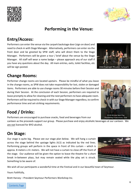### **Performing in the Venue:**

## **Entry/Access:**

Performers can enter the venue via the carpark backstage door (sign on door) and need to check-in with Stage Manager.Alternatively, performers can enter via the front door and be greeted by SPW staff, who will direct them to the Stage Manager. Performers will be given a tour / brief about the venue by the Stage Manager. All staff will wear a name badge – please approach any of our staff if you have any questions about the day. All main entries, exits, toilet facilities, etc will be sign-posted.

### **Change Rooms:**

Performer change rooms are located upstairs. Please be mindful of what you leave in the change rooms, as SPW does not take responsibility for lost, stolen or damaged items. Performers are able to use change rooms 30 minutes before their Session and during their Session. At the conclusion of each Session, performers are required to leave promptly to allow for cleaning and the next performers to have adequate room. Performers will be required to check-in with our Stage Manager regardless, to confirm performance time and set-striking requirements.

# **Food / Drinks:**

Performers are encouraged to purchase snacks, food and beverages from our

canteen as the proceeds support our group. Please purchase and enjoy alcoholic beverages at our canteen. We are not licenced for BYO alcohol.

# **On Stage:**

Our stage is quite big. Please see our stage plan below. We will hang a curtain across the stage behind the upstage lights (4,5) as indicated by the red lines. Performing groups will perform in the space in front of this curtain – which is approx. 8 meters x 4+ meters. We will not have a curtain to close off the front of the stage. Our audience will be given the option to leave the theatre for a short break in-between plays, but may remain seated while the play set is struck. Something to be aware of.

We wish all our participants a wonderful time at the Festival and in our beautiful town of Seymour.

Yours Faithfully,

Brett Harvey – President Seymour Performers Workshop Inc.



2018 Winner Best Play Powderkeg Productions - Slut

2018 Flashlight Theatre - School'd





<span id="page-5-0"></span>

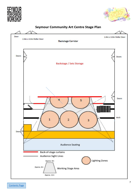





#### <span id="page-6-0"></span>Seymour Community Art Centre Stage Plan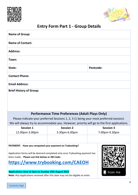



# <span id="page-7-0"></span>**Entry Form Part 1 - Group Details**

| <b>Name of Group:</b>                                                                                                                                                 |                                                                                                                                                                                                  |                  |  |  |
|-----------------------------------------------------------------------------------------------------------------------------------------------------------------------|--------------------------------------------------------------------------------------------------------------------------------------------------------------------------------------------------|------------------|--|--|
| <b>Name of Contact:</b>                                                                                                                                               |                                                                                                                                                                                                  |                  |  |  |
| <b>Address:</b>                                                                                                                                                       |                                                                                                                                                                                                  |                  |  |  |
| Town:                                                                                                                                                                 |                                                                                                                                                                                                  |                  |  |  |
| Postcode:<br>State:                                                                                                                                                   |                                                                                                                                                                                                  |                  |  |  |
| <b>Contact Phone:</b>                                                                                                                                                 |                                                                                                                                                                                                  |                  |  |  |
| <b>Email Address:</b>                                                                                                                                                 |                                                                                                                                                                                                  |                  |  |  |
| <b>Brief History of Group:</b>                                                                                                                                        |                                                                                                                                                                                                  |                  |  |  |
|                                                                                                                                                                       | <b>Performance Time Preferences (Adult Plays Only)</b>                                                                                                                                           |                  |  |  |
|                                                                                                                                                                       | Please indicate your preferred Sessions 1, 2, 3 (1 being your most preferred session).                                                                                                           |                  |  |  |
| We will always try to accommodate you. However, priority will go to the first applications.                                                                           |                                                                                                                                                                                                  |                  |  |  |
| <b>Session 1</b>                                                                                                                                                      | <b>Session 2</b>                                                                                                                                                                                 | <b>Session 3</b> |  |  |
| 12.00pm-3.00pm                                                                                                                                                        | 3.30pm-6.00pm                                                                                                                                                                                    | 7.00pm-9.30pm    |  |  |
|                                                                                                                                                                       |                                                                                                                                                                                                  |                  |  |  |
| PAYMENT: Have you competed your payment on Trybooking?<br>been made. Please use link below or QR Code:<br><b>Applications close at 5pm on Sunday 10th August 2022</b> | Application forms will be deemed completed only once Trybooking payment has<br>https://www.trybooking.com/CAEOH<br>Note: Any Applications received after this date may not be eligible to enter. | Scan me          |  |  |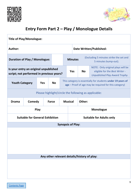



# <span id="page-8-0"></span>**Entry Form Part 2 – Play / Monologue Details**

| <b>Title of Play/Monologue:</b>                                                   |               |                                                                                   |                                                                                                                                   |                                |                                                                                                              |        |  |
|-----------------------------------------------------------------------------------|---------------|-----------------------------------------------------------------------------------|-----------------------------------------------------------------------------------------------------------------------------------|--------------------------------|--------------------------------------------------------------------------------------------------------------|--------|--|
| Author:                                                                           |               |                                                                                   |                                                                                                                                   | <b>Date Written/Published:</b> |                                                                                                              |        |  |
| <b>Duration of Play / Monologue:</b>                                              |               | (Excluding 5 minutes strike the set and<br><b>Minutes</b><br>5 minutes bump-out). |                                                                                                                                   |                                |                                                                                                              |        |  |
| Is your entry an original unpublished<br>script; not performed in previous years? |               |                                                                                   | <b>Yes</b>                                                                                                                        | <b>No</b>                      | NOTE: Only original plays will be<br>eligible for the Best Writer -<br><b>Unpublished Play Award Trophy.</b> |        |  |
| <b>Youth Category</b>                                                             |               | <b>Yes</b>                                                                        | This category is essentially for students under 19 years of<br><b>No</b><br>age – Proof of age may be required for this category) |                                |                                                                                                              |        |  |
| Please highlight/circle the following as applicable:                              |               |                                                                                   |                                                                                                                                   |                                |                                                                                                              |        |  |
| <b>Drama</b>                                                                      | <b>Comedy</b> |                                                                                   | <b>Farce</b>                                                                                                                      |                                | <b>Musical</b>                                                                                               | Other: |  |
| <b>Play</b><br>Monologue                                                          |               |                                                                                   |                                                                                                                                   |                                |                                                                                                              |        |  |
| <b>Suitable for General Exhibition</b>                                            |               |                                                                                   | <b>Suitable for Adults only</b>                                                                                                   |                                |                                                                                                              |        |  |
| <b>Synopsis of Play:</b>                                                          |               |                                                                                   |                                                                                                                                   |                                |                                                                                                              |        |  |
| Any other relevant details/history of play:                                       |               |                                                                                   |                                                                                                                                   |                                |                                                                                                              |        |  |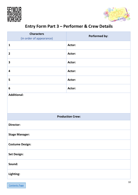<span id="page-9-0"></span>



# **Entry Form Part 3 – Performer & Crew Details**

| <b>Characters</b><br>(in order of appearance) | <b>Performed by:</b>    |
|-----------------------------------------------|-------------------------|
| $\mathbf{1}$                                  | Actor:                  |
| $\overline{2}$                                | Actor:                  |
| $\overline{\mathbf{3}}$                       | Actor:                  |
| $\overline{\mathbf{4}}$                       | Actor:                  |
| 5                                             | Actor:                  |
| 6                                             | Actor:                  |
| <b>Additional:</b>                            |                         |
|                                               | <b>Production Crew:</b> |
| <b>Director:</b>                              |                         |
| <b>Stage Manager:</b>                         |                         |
| <b>Costume Design:</b>                        |                         |
| <b>Set Design:</b>                            |                         |
| Sound:                                        |                         |
| Lighting:                                     |                         |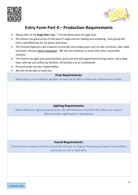



#### **Entry Form Part 4 – Production Requirements**

- <span id="page-10-0"></span>• Please refer to the **Stage Plan** Page: 7. for the dimensions of stage area.
- The theatre has good access to the back of stage area for loading and unloading. Each group will have a specified area for set pieces and props.
- The Festival Organisers will endeavor to provide some large props such as sofa, armchairs, bed, table and chairs, dresser where requested. We will also endeavor to assist with other reasonable requests.
- The theatre has light and sound facilities, good size and well-appointed dressing rooms, and a large foyer with bar and coffee bar facilities. All facilities are air-conditioned.
- Personal props are your responsibility.
- We will not be able to build sets

#### **Prop Requirements:**

Please give as much detail as possible, we may not be able to meet your requirements exactly.

#### **Lighting Requirements:**

Please detail your lighting requirements. We will endeavour to achieve the affects you require. Please provide a lighting plot if appropriate.

#### **Sound Requirements:**

There will be a maximum of three (3) minutes of music or singing. Please bring all special sound effects and music on a CD or flash drive.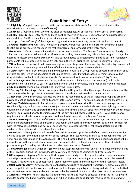



### **Conditions of Entry:**

<span id="page-11-0"></span>**1.1 Eligibility:** Competition is open to participants of **amateur** status only. (i.e. their role in theatre, film or television is not their major source of income).

**1.2 Entries:** Groups may enter up to three plays or monologues. All entries must be on official entry forms. **1.3 Entry Forms & Fees:** Entry forms and fees must be received by Festival Director by the nominated closing date and time. The Director will notify participants of receipt of their entry via email.

**1.4 Scripts:** One 'soft copy' of the play/monologue script must accompany the entry form for it to be valid. **1.5 Group Information:** A cast list, synopsis of play (100 words max) and a brief history of the participating theatre group are required for use in the festival program, and form part of the entry form.

**1.6 Allotments:** Groups can nominate desired performance sessions.The Festival Director reserves the right to allot dates and times or to limit and/or refuse entries as they deem necessary. Should late program changes be deemed necessary the Festival Director will give as much notice to affected participants as possible. Generally, participants will be contacted by email 2 weeks and in the week prior to the Festival to confirm all times.

**1.7 Double-ups:** In the event that two or more groups apply to present the same play, the first entry received will be accepted. Subsequent groups will be notified and invited to present a second choice.

**1.8 Adult Plays:** Adult plays must be a minimum 20mins in duration. Groups will be allocated a maximum of 60 minutes per play; which includes time to set-up and strike stage. Plays that exceed 60 minutes total will be disqualified and will not be eligible for awards. Performance duration must be stated on Entry Forms. **1.9 Youth Plays:** Must be a minimum 10mins, and a maximum of 60mins total (as per adult). All Youth

performers must be under 19 years of age at the time of the performance, and proof of age may be requested. **2.1 Monologues:** Monologues must be no longer than 15 minutes.

**2.2 Setting / Striking Stage:** Groups are responsible for setting and striking their stage. Some assistance will be available from backstage crew if requested. Groups can indicate their needs on the Entry Form.

**2.3 Royalties:** Any performance royalties are wholly the responsibility of the participating group and proof of payment must be given to the Festival Manager before or on arrival. The seating capacity of the theatre is 270. **2.4 Stage/Tech Management:** Participating groups are required to provide their own stage manager and/or sound and lighting technicians to work in conjunction with the Festival technical crew. Basic lighting and audio equipment is available and operated from the sound and lighting desk. An opportunity to meet with the technical

team will be provided prior to the first session of the day, and in between each session. If your performance requires special effects, prior arrangements will need to be made with the Festival Director.

**2.5 Firearms/Weapons:** The use of firearms or weapons in theatrical performance is regulated in Victoria. Any participant proposing the use of a firearm or weapon in their performance is wholly responsible for compliance with the relevant regulation and notice of such use must be accompany the Festival Application along with evidence of compliance with the relevant legislation.

**2.6 Feedback:** The Adjudicator will provide feedback from the stage at the end of each session and determine awards to be presented at the conclusion of the Festival. The Festival Organisers take no responsibility for the views and decisions made by the Adjudicator. The Adjudicator's decision is final and no correspondence will be entered into. In the interest of non-biased and fair adjudication, no theatrical material written, directed, produced or performed by the Adjudicator may be performed at our festival.

**2.7 Loss/Damage:** Festival Organisers (SPW) cannot accept responsibility for any loss or damage to participants or their property during the Festival. Please be careful and mindful of yourselves and your property.

**2.8 Photography:** Seymour Performers Workshop reserve the right to photograph or video performances for archival purposes and future publicity of our event. Groups not consenting to this must contact the Festival Director. Groups wanting to photograph or video their own performances must inform the Festival Director. **3.0 Behaviour & Safety:** Any disrespectful, antisocial or disruptive behaviour by performers, crew, audience or attending public will not be tolerated, and may result in the participant/patron being excluded from the festival. Further action may be taken as deemed necessary by the Festival Director or other SPW Committee Members. **3.1 Health & Hygiene:** All participants are asked to be health and hygiene conscious during the Festival; which includes appropriate hand-washing, disposal of rubbish and please consider face masks and social distancing.